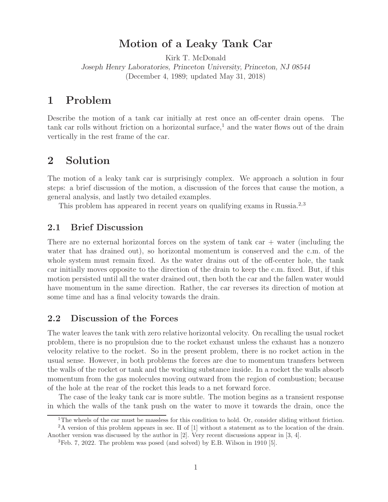## **Motion of a Leaky Tank Car**

Kirk T. McDonald *Joseph Henry Laboratories, Princeton University, Princeton, NJ 08544* (December 4, 1989; updated May 31, 2018)

## **1 Problem**

Describe the motion of a tank car initially at rest once an off-center drain opens. The tank car rolls without friction on a horizontal surface,<sup>1</sup> and the water flows out of the drain vertically in the rest frame of the car.

## **2 Solution**

The motion of a leaky tank car is surprisingly complex. We approach a solution in four steps: a brief discussion of the motion, a discussion of the forces that cause the motion, a general analysis, and lastly two detailed examples.

This problem has appeared in recent years on qualifying exams in Russia.<sup>2,3</sup>

### **2.1 Brief Discussion**

There are no external horizontal forces on the system of tank car  $+$  water (including the water that has drained out), so horizontal momentum is conserved and the c.m. of the whole system must remain fixed. As the water drains out of the off-center hole, the tank car initially moves opposite to the direction of the drain to keep the c.m. fixed. But, if this motion persisted until all the water drained out, then both the car and the fallen water would have momentum in the same direction. Rather, the car reverses its direction of motion at some time and has a final velocity towards the drain.

## **2.2 Discussion of the Forces**

The water leaves the tank with zero relative horizontal velocity. On recalling the usual rocket problem, there is no propulsion due to the rocket exhaust unless the exhaust has a nonzero velocity relative to the rocket. So in the present problem, there is no rocket action in the usual sense. However, in both problems the forces are due to momentum transfers between the walls of the rocket or tank and the working substance inside. In a rocket the walls absorb momentum from the gas molecules moving outward from the region of combustion; because of the hole at the rear of the rocket this leads to a net forward force.

The case of the leaky tank car is more subtle. The motion begins as a transient response in which the walls of the tank push on the water to move it towards the drain, once the

<sup>&</sup>lt;sup>1</sup>The wheels of the car must be massless for this condition to hold. Or, consider sliding without friction. <sup>2</sup>A version of this problem appears in sec. II of [1] without a statement as to the location of the drain.

Another version was discussed by the author in [2]. Very recent discussions appear in [3, 4].

<sup>3</sup>Feb. 7, 2022. The problem was posed (and solved) by E.B. Wilson in 1910 [5].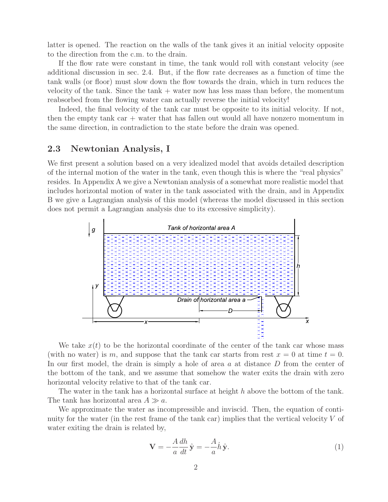latter is opened. The reaction on the walls of the tank gives it an initial velocity opposite to the direction from the c.m. to the drain.

If the flow rate were constant in time, the tank would roll with constant velocity (see additional discussion in sec. 2.4. But, if the flow rate decreases as a function of time the tank walls (or floor) must slow down the flow towards the drain, which in turn reduces the velocity of the tank. Since the tank  $+$  water now has less mass than before, the momentum reabsorbed from the flowing water can actually reverse the initial velocity!

Indeed, the final velocity of the tank car must be opposite to its initial velocity. If not, then the empty tank car + water that has fallen out would all have nonzero momentum in the same direction, in contradiction to the state before the drain was opened.

### **2.3 Newtonian Analysis, I**

We first present a solution based on a very idealized model that avoids detailed description of the internal motion of the water in the tank, even though this is where the "real physics" resides. In Appendix A we give a Newtonian analysis of a somewhat more realistic model that includes horizontal motion of water in the tank associated with the drain, and in Appendix B we give a Lagrangian analysis of this model (whereas the model discussed in this section does not permit a Lagrangian analysis due to its excessive simplicity).



We take  $x(t)$  to be the horizontal coordinate of the center of the tank car whose mass (with no water) is m, and suppose that the tank car starts from rest  $x = 0$  at time  $t = 0$ . In our first model, the drain is simply a hole of area a at distance D from the center of the bottom of the tank, and we assume that somehow the water exits the drain with zero horizontal velocity relative to that of the tank car.

The water in the tank has a horizontal surface at height  $h$  above the bottom of the tank. The tank has horizontal area  $A \gg a$ .

We approximate the water as incompressible and inviscid. Then, the equation of continuity for the water (in the rest frame of the tank car) implies that the vertical velocity  $V$  of water exiting the drain is related by,

$$
\mathbf{V} = -\frac{A}{a}\frac{dh}{dt}\hat{\mathbf{y}} = -\frac{A}{a}\dot{h}\hat{\mathbf{y}}.
$$
\n(1)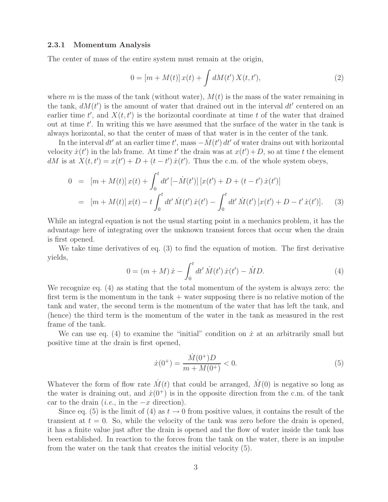#### **2.3.1 Momentum Analysis**

The center of mass of the entire system must remain at the origin,

$$
0 = [m + M(t)]x(t) + \int dM(t') X(t, t'), \qquad (2)
$$

where m is the mass of the tank (without water),  $M(t)$  is the mass of the water remaining in the tank,  $dM(t')$  is the amount of water that drained out in the interval  $dt'$  centered on an earlier time  $t'$ , and  $X(t, t')$  is the horizontal coordinate at time t of the water that drained out at time  $t'$ . In writing this we have assumed that the surface of the water in the tank is always horizontal, so that the center of mass of that water is in the center of the tank.

In the interval dt' at an earlier time t', mass  $-\dot{M}(t') dt'$  of water drains out with horizontal velocity  $\dot{x}(t')$  in the lab frame. At time t' the drain was at  $x(t') + D$ , so at time t the element dM is at  $X(t, t') = x(t') + D + (t - t') \dot{x}(t')$ . Thus the c.m. of the whole system obeys,

$$
0 = [m + M(t)] x(t) + \int_0^t dt' [-\dot{M}(t')] [x(t') + D + (t - t') \dot{x}(t')]
$$
  
= 
$$
[m + M(t)] x(t) - t \int_0^t dt' \dot{M}(t') \dot{x}(t') - \int_0^t dt' \dot{M}(t') [x(t') + D - t' \dot{x}(t')].
$$
 (3)

While an integral equation is not the usual starting point in a mechanics problem, it has the advantage here of integrating over the unknown transient forces that occur when the drain is first opened.

We take time derivatives of eq. (3) to find the equation of motion. The first derivative yields,

$$
0 = (m + M)\dot{x} - \int_0^t dt' \dot{M}(t') \dot{x}(t') - \dot{M}D.
$$
 (4)

We recognize eq. (4) as stating that the total momentum of the system is always zero: the first term is the momentum in the tank  $+$  water supposing there is no relative motion of the tank and water, the second term is the momentum of the water that has left the tank, and (hence) the third term is the momentum of the water in the tank as measured in the rest frame of the tank.

We can use eq. (4) to examine the "initial" condition on  $\dot{x}$  at an arbitrarily small but positive time at the drain is first opened,

$$
\dot{x}(0^+) = \frac{\dot{M}(0^+)D}{m + M(0^+)} < 0. \tag{5}
$$

Whatever the form of flow rate  $\dot{M}(t)$  that could be arranged,  $\dot{M}(0)$  is negative so long as the water is draining out, and  $\dot{x}(0^+)$  is in the opposite direction from the c.m. of the tank car to the drain (*i.e.*, in the  $-x$  direction).

Since eq. (5) is the limit of (4) as  $t \to 0$  from positive values, it contains the result of the transient at  $t = 0$ . So, while the velocity of the tank was zero before the drain is opened, it has a finite value just after the drain is opened and the flow of water inside the tank has been established. In reaction to the forces from the tank on the water, there is an impulse from the water on the tank that creates the initial velocity (5).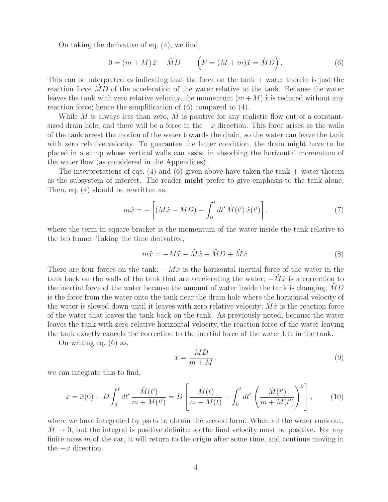On taking the derivative of eq. (4), we find,

$$
0 = (m + M)\ddot{x} - \ddot{M}D \qquad \left(F = (M + m)\ddot{x} = \ddot{M}D\right). \tag{6}
$$

This can be interpreted as indicating that the force on the tank + water therein is just the reaction force  $MD$  of the acceleration of the water relative to the tank. Because the water leaves the tank with zero relative velocity, the momentum  $(m + M)\dot{x}$  is reduced without any reaction force; hence the simplification of (6) compared to (4).

While M is always less than zero, M is positive for any realistic flow out of a constantsized drain hole, and there will be a force in the  $+x$  direction. This force arises as the walls of the tank arrest the motion of the water towards the drain, so the water can leave the tank with zero relative velocity. To guarantee the latter condition, the drain might have to be placed in a sump whose vertical walls can assist in absorbing the horizontal momentum of the water flow (as considered in the Appendices).

The interpretations of eqs. (4) and (6) given above have taken the tank  $+$  water therein as the subsystem of interest. The reader might prefer to give emphasis to the tank alone. Then, eq. (4) should be rewritten as,

$$
m\dot{x} = -\left[ (M\dot{x} - \dot{M}D) - \int_0^t dt' \dot{M}(t') \dot{x}(t') \right],\tag{7}
$$

where the term in square bracket is the momentum of the water inside the tank relative to the lab frame. Taking the time derivative,

$$
m\ddot{x} = -M\ddot{x} - \dot{M}\dot{x} + \ddot{M}D + \dot{M}\dot{x}.
$$
\n(8)

There are four forces on the tank:  $-M\ddot{x}$  is the horizontal inertial force of the water in the tank back on the walls of the tank that are accelerating the water;  $-M\dot{x}$  is a correction to the inertial force of the water because the amount of water inside the tank is changing;  $MD$ is the force from the water onto the tank near the drain hole where the horizontal velocity of the water is slowed down until it leaves with zero relative velocity;  $M\dot{x}$  is the reaction force of the water that leaves the tank back on the tank. As previously noted, because the water leaves the tank with zero relative horizontal velocity, the reaction force of the water leaving the tank exactly cancels the correction to the inertial force of the water left in the tank.

On writing eq. (6) as,

$$
\ddot{x} = \frac{\ddot{M}D}{m+M},\tag{9}
$$

we can integrate this to find,

$$
\dot{x} = \dot{x}(0) + D \int_0^t dt' \frac{\ddot{M}(t')}{m + M(t')} = D \left[ \frac{\dot{M}(t)}{m + M(t)} + \int_0^t dt' \left( \frac{\dot{M}(t')}{m + M(t')} \right)^2 \right],
$$
(10)

where we have integrated by parts to obtain the second form. When all the water runs out,  $M \rightarrow 0$ , but the integral is positive definite, so the final velocity must be positive. For any finite mass  $m$  of the car, it will return to the origin after some time, and continue moving in the  $+x$  direction.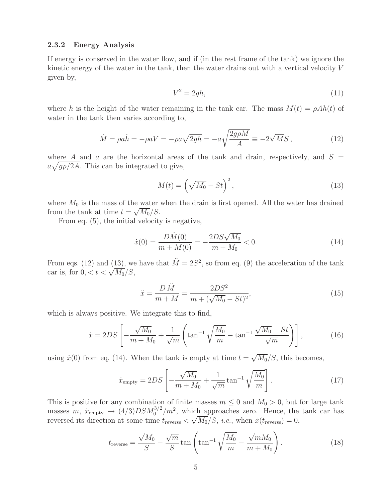#### **2.3.2 Energy Analysis**

If energy is conserved in the water flow, and if (in the rest frame of the tank) we ignore the kinetic energy of the water in the tank, then the water drains out with a vertical velocity V given by,

$$
V^2 = 2gh,\tag{11}
$$

where h is the height of the water remaining in the tank car. The mass  $M(t) = \rho Ah(t)$  of water in the tank then varies according to,

$$
\dot{M} = \rho a \dot{h} = -\rho aV = -\rho a \sqrt{2gh} = -a \sqrt{\frac{2g\rho M}{A}} \equiv -2\sqrt{MS} ,\qquad (12)
$$

where A and a are the horizontal areas of the tank and drain, respectively, and  $S =$  $a\sqrt{g\rho/2A}$ . This can be integrated to give,

$$
M(t) = \left(\sqrt{M_0} - St\right)^2,\tag{13}
$$

where  $M_0$  is the mass of the water when the drain is first opened. All the water has drained from the tank at time  $t = \sqrt{M_0/S}$ .

From eq. (5), the initial velocity is negative,

$$
\dot{x}(0) = \frac{D\dot{M}(0)}{m + M(0)} = -\frac{2DS\sqrt{M_0}}{m + M_0} < 0. \tag{14}
$$

From eqs. (12) and (13), we have that  $\ddot{M} = 2S^2$ , so from eq. (9) the acceleration of the tank car is, for  $0, < t < \sqrt{M_0}/S$ ,

$$
\ddot{x} = \frac{D \ddot{M}}{m + M} = \frac{2DS^2}{m + (\sqrt{M_0} - St)^2},\tag{15}
$$

which is always positive. We integrate this to find,

$$
\dot{x} = 2DS \left[ -\frac{\sqrt{M_0}}{m + M_0} + \frac{1}{\sqrt{m}} \left( \tan^{-1} \sqrt{\frac{M_0}{m}} - \tan^{-1} \frac{\sqrt{M_0} - St}{\sqrt{m}} \right) \right],\tag{16}
$$

using  $\dot{x}(0)$  from eq. (14). When the tank is empty at time  $t = \sqrt{M_0}/S$ , this becomes,

$$
\dot{x}_{\rm empty} = 2DS \left[ -\frac{\sqrt{M_0}}{m + M_0} + \frac{1}{\sqrt{m}} \tan^{-1} \sqrt{\frac{M_0}{m}} \right].
$$
 (17)

This is positive for any combination of finite masses  $m \leq 0$  and  $M_0 > 0$ , but for large tank masses  $m, \dot{x}_{\text{empty}} \rightarrow (4/3)DSM_0^{3/2}/m^2$ , which approaches zero. Hence, the tank car has reversed its direction at some time  $t_{\text{reverse}} < \sqrt{M_0}/S$ , *i.e.*, when  $\dot{x}(t_{\text{reverse}}) = 0$ ,

$$
t_{\text{reverse}} = \frac{\sqrt{M_0}}{S} - \frac{\sqrt{m}}{S} \tan\left(\tan^{-1}\sqrt{\frac{M_0}{m}} - \frac{\sqrt{mM_0}}{m + M_0}\right). \tag{18}
$$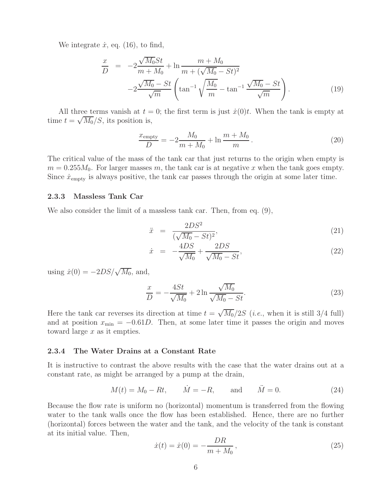We integrate  $\dot{x}$ , eq. (16), to find,

$$
\frac{x}{D} = -2\frac{\sqrt{M_0}St}{m+M_0} + \ln \frac{m+M_0}{m+(\sqrt{M_0}-St)^2} -2\frac{\sqrt{M_0}-St}{\sqrt{m}} \left(\tan^{-1}\sqrt{\frac{M_0}{m}} - \tan^{-1}\frac{\sqrt{M_0}-St}{\sqrt{m}}\right).
$$
\n(19)

All three terms vanish at  $t = 0$ ; the first term is just  $\dot{x}(0)t$ . When the tank is empty at time  $t = \sqrt{M_0}/S$ , its position is,

$$
\frac{x_{\text{empty}}}{D} = -2\frac{M_0}{m + M_0} + \ln\frac{m + M_0}{m}.
$$
\n(20)

The critical value of the mass of the tank car that just returns to the origin when empty is  $m = 0.255M_0$ . For larger masses m, the tank car is at negative x when the tank goes empty. Since  $\dot{x}_{\text{empty}}$  is always positive, the tank car passes through the origin at some later time.

#### **2.3.3 Massless Tank Car**

We also consider the limit of a massless tank car. Then, from eq.  $(9)$ ,

$$
\ddot{x} = \frac{2DS^2}{(\sqrt{M_0} - St)^2},\tag{21}
$$

$$
\dot{x} = -\frac{4DS}{\sqrt{M_0}} + \frac{2DS}{\sqrt{M_0} - St},
$$
\n(22)

using  $\dot{x}(0) = -2DS/\sqrt{M_0}$ , and,

$$
\frac{x}{D} = -\frac{4St}{\sqrt{M_0}} + 2\ln\frac{\sqrt{M_0}}{\sqrt{M_0} - St}.
$$
\n(23)

Here the tank car reverses its direction at time  $t = \sqrt{M_0/2S}$  (*i.e.*, when it is still 3/4 full) and at position  $x_{\text{min}} = -0.61D$ . Then, at some later time it passes the origin and moves toward large x as it empties.

#### **2.3.4 The Water Drains at a Constant Rate**

It is instructive to contrast the above results with the case that the water drains out at a constant rate, as might be arranged by a pump at the drain,

$$
M(t) = M_0 - Rt,
$$
  $\dot{M} = -R,$  and  $\ddot{M} = 0.$  (24)

Because the flow rate is uniform no (horizontal) momentum is transferred from the flowing water to the tank walls once the flow has been established. Hence, there are no further (horizontal) forces between the water and the tank, and the velocity of the tank is constant at its initial value. Then,

$$
\dot{x}(t) = \dot{x}(0) = -\frac{DR}{m + M_0},\tag{25}
$$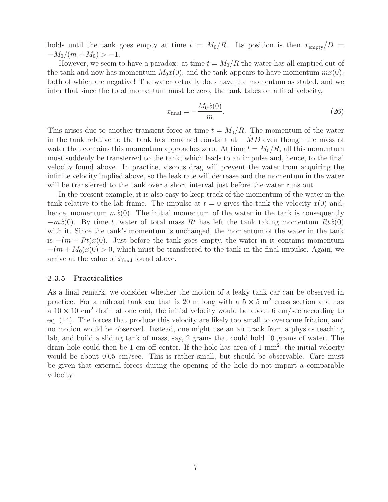holds until the tank goes empty at time  $t = M_0/R$ . Its position is then  $x_{\text{empty}}/D =$  $-M_0/(m+M_0) > -1.$ 

However, we seem to have a paradox: at time  $t = M_0/R$  the water has all emptied out of the tank and now has momentum  $M_0\dot{x}(0)$ , and the tank appears to have momentum  $m\dot{x}(0)$ , both of which are negative! The water actually does have the momentum as stated, and we infer that since the total momentum must be zero, the tank takes on a final velocity,

$$
\dot{x}_{\text{final}} = -\frac{M_0 \dot{x}(0)}{m}.
$$
\n(26)

This arises due to another transient force at time  $t = M_0/R$ . The momentum of the water in the tank relative to the tank has remained constant at  $-\dot{M}D$  even though the mass of water that contains this momentum approaches zero. At time  $t = M_0/R$ , all this momentum must suddenly be transferred to the tank, which leads to an impulse and, hence, to the final velocity found above. In practice, viscous drag will prevent the water from acquiring the infinite velocity implied above, so the leak rate will decrease and the momentum in the water will be transferred to the tank over a short interval just before the water runs out.

In the present example, it is also easy to keep track of the momentum of the water in the tank relative to the lab frame. The impulse at  $t = 0$  gives the tank the velocity  $\dot{x}(0)$  and, hence, momentum  $m\dot{x}(0)$ . The initial momentum of the water in the tank is consequently  $-m\dot{x}(0)$ . By time t, water of total mass Rt has left the tank taking momentum  $R\dot{x}(0)$ with it. Since the tank's momentum is unchanged, the momentum of the water in the tank is  $-(m + Rt)\dot{x}(0)$ . Just before the tank goes empty, the water in it contains momentum  $-(m + M_0)\dot{x}(0) > 0$ , which must be transferred to the tank in the final impulse. Again, we arrive at the value of  $\dot{x}_{\text{final}}$  found above.

#### **2.3.5 Practicalities**

As a final remark, we consider whether the motion of a leaky tank car can be observed in practice. For a railroad tank car that is 20 m long with a  $5 \times 5$  m<sup>2</sup> cross section and has a  $10 \times 10$  cm<sup>2</sup> drain at one end, the initial velocity would be about 6 cm/sec according to eq. (14). The forces that produce this velocity are likely too small to overcome friction, and no motion would be observed. Instead, one might use an air track from a physics teaching lab, and build a sliding tank of mass, say, 2 grams that could hold 10 grams of water. The drain hole could then be 1 cm off center. If the hole has area of 1  $\text{mm}^2$ , the initial velocity would be about 0.05 cm/sec. This is rather small, but should be observable. Care must be given that external forces during the opening of the hole do not impart a comparable velocity.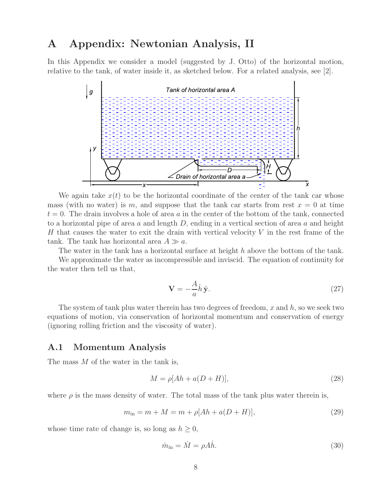## **A Appendix: Newtonian Analysis, II**

In this Appendix we consider a model (suggested by J. Otto) of the horizontal motion, relative to the tank, of water inside it, as sketched below. For a related analysis, see [2].



We again take  $x(t)$  to be the horizontal coordinate of the center of the tank car whose mass (with no water) is m, and suppose that the tank car starts from rest  $x = 0$  at time  $t = 0$ . The drain involves a hole of area a in the center of the bottom of the tank, connected to a horizontal pipe of area a and length  $D$ , ending in a vertical section of area a and height H that causes the water to exit the drain with vertical velocity  $V$  in the rest frame of the tank. The tank has horizontal area  $A \gg a$ .

The water in the tank has a horizontal surface at height h above the bottom of the tank.

We approximate the water as incompressible and inviscid. The equation of continuity for the water then tell us that,

$$
\mathbf{V} = -\frac{A}{a}\dot{h}\,\hat{\mathbf{y}}.\tag{27}
$$

The system of tank plus water therein has two degrees of freedom, x and  $h$ , so we seek two equations of motion, via conservation of horizontal momentum and conservation of energy (ignoring rolling friction and the viscosity of water).

### **A.1 Momentum Analysis**

The mass M of the water in the tank is,

$$
M = \rho[Ah + a(D+H)],\tag{28}
$$

where  $\rho$  is the mass density of water. The total mass of the tank plus water therein is,

$$
m_{\rm in} = m + M = m + \rho [Ah + a(D + H)], \qquad (29)
$$

whose time rate of change is, so long as  $h \geq 0$ ,

$$
\dot{m}_{\rm in} = \dot{M} = \rho A \dot{h}.\tag{30}
$$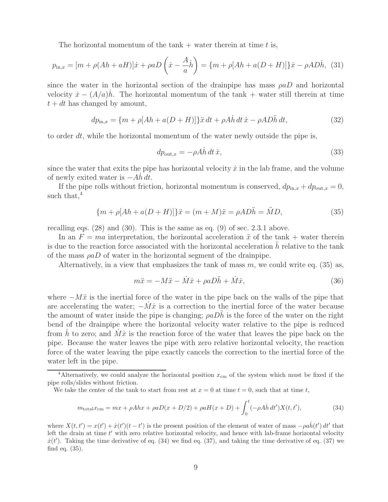The horizontal momentum of the tank  $+$  water therein at time t is,

$$
p_{\text{in},x} = [m + \rho(Ah + aH)]\dot{x} + \rho aD\left(\dot{x} - \frac{A}{a}\dot{h}\right) = \{m + \rho[Ah + a(D + H)]\}\dot{x} - \rho A D \dot{h}, \tag{31}
$$

since the water in the horizontal section of the drainpipe has mass  $\rho aD$  and horizontal velocity  $\dot{x} - (A/a)h$ . The horizontal momentum of the tank + water still therein at time  $t + dt$  has changed by amount,

$$
dp_{\text{in},x} = \{m + \rho[Ah + a(D+H)]\}\ddot{x}\,dt + \rho A\dot{h}\,dt\,\dot{x} - \rho A D\ddot{h}\,dt,\tag{32}
$$

to order  $dt$ , while the horizontal momentum of the water newly outside the pipe is,

$$
dp_{\text{out},x} = -\rho A \dot{h} \, dt \, \dot{x},\tag{33}
$$

since the water that exits the pipe has horizontal velocity  $\dot{x}$  in the lab frame, and the volume of newly exited water is  $-Ah dt$ .

If the pipe rolls without friction, horizontal momentum is conserved,  $dp_{\text{in},x} + dp_{\text{out},x} = 0$ , such that, $4$ 

$$
\{m + \rho[Ah + a(D + H)]\}\ddot{x} = (m + M)\ddot{x} = \rho AD\ddot{h} = \ddot{M}D,
$$
\n(35)

recalling eqs. (28) and (30). This is the same as eq. (9) of sec. 2.3.1 above.

In an  $F = ma$  interpretation, the horizontal acceleration  $\ddot{x}$  of the tank + water therein is due to the reaction force associated with the horizontal acceleration  $h$  relative to the tank of the mass  $\rho a D$  of water in the horizontal segment of the drainpipe.

Alternatively, in a view that emphasizes the tank of mass  $m$ , we could write eq. (35) as,

$$
m\ddot{x} = -M\ddot{x} - \dot{M}\dot{x} + \rho a\ddot{D}\dot{h} + \dot{M}\dot{x},\tag{36}
$$

where  $-M\ddot{x}$  is the inertial force of the water in the pipe back on the walls of the pipe that are accelerating the water;  $-M\dot{x}$  is a correction to the inertial force of the water because the amount of water inside the pipe is changing;  $\rho aD\ddot{h}$  is the force of the water on the right bend of the drainpipe where the horizontal velocity water relative to the pipe is reduced from h to zero; and  $M\dot{x}$  is the reaction force of the water that leaves the pipe back on the pipe. Because the water leaves the pipe with zero relative horizontal velocity, the reaction force of the water leaving the pipe exactly cancels the correction to the inertial force of the water left in the pipe.

$$
m_{\text{total}}x_{\text{cm}} = mx + \rho Ahx + \rho aD(x + D/2) + \rho aH(x + D) + \int_0^t (-\rho Ah \, dt')X(t, t'),\tag{34}
$$

where  $X(t, t') = x(t') + \dot{x}(t')(t - t')$  is the present position of the element of water of mass  $-\rho a \dot{h}(t') dt'$  that left the drain at time  $t'$  with zero relative horizontal velocity, and hence with lab-frame horizontal velocity  $\dot{x}(t')$ . Taking the time derivative of eq. (34) we find eq. (37), and taking the time derivative of eq. (37) we find eq. (35).

<sup>&</sup>lt;sup>4</sup>Alternatively, we could analyze the horizontal position  $x_{\rm cm}$  of the system which must be fixed if the pipe rolls/slides without friction.

We take the center of the tank to start from rest at  $x = 0$  at time  $t = 0$ , such that at time t,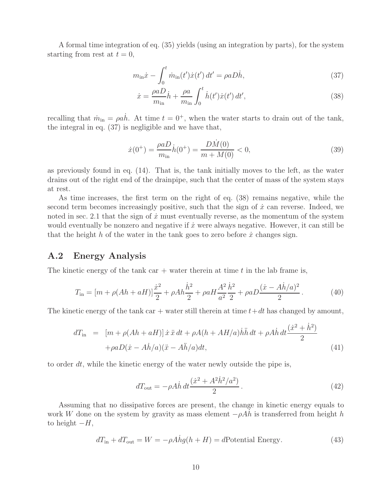A formal time integration of eq. (35) yields (using an integration by parts), for the system starting from rest at  $t = 0$ ,

$$
m_{\rm in}\dot{x} - \int_0^t \dot{m}_{\rm in}(t')\dot{x}(t')\,dt' = \rho a D\dot{h},\tag{37}
$$

$$
\dot{x} = \frac{\rho a D}{m_{\text{in}}} \dot{h} + \frac{\rho a}{m_{\text{in}}} \int_0^t \dot{h}(t') \dot{x}(t') dt',\tag{38}
$$

recalling that  $\dot{m}_{in} = \rho a \dot{h}$ . At time  $t = 0^+$ , when the water starts to drain out of the tank, the integral in eq. (37) is negligible and we have that,

$$
\dot{x}(0^+) = \frac{\rho a D}{m_{\text{in}}} \dot{h}(0^+) = \frac{D \dot{M}(0)}{m + M(0)} < 0,\tag{39}
$$

as previously found in eq. (14). That is, the tank initially moves to the left, as the water drains out of the right end of the drainpipe, such that the center of mass of the system stays at rest.

As time increases, the first term on the right of eq. (38) remains negative, while the second term becomes increasingly positive, such that the sign of  $\dot{x}$  can reverse. Indeed, we noted in sec. 2.1 that the sign of  $\dot{x}$  must eventually reverse, as the momentum of the system would eventually be nonzero and negative if  $\dot{x}$  were always negative. However, it can still be that the height h of the water in the tank goes to zero before  $\dot{x}$  changes sign.

### **A.2 Energy Analysis**

The kinetic energy of the tank car  $+$  water therein at time t in the lab frame is,

$$
T_{\rm in} = [m + \rho (Ah + aH)]\frac{\dot{x}^2}{2} + \rho Ah \frac{\dot{h}^2}{2} + \rho aH \frac{A^2}{a^2} \frac{\dot{h}^2}{2} + \rho aD \frac{(\dot{x} - Ah/a)^2}{2}.
$$
 (40)

The kinetic energy of the tank car + water still therein at time  $t+dt$  has changed by amount,

$$
dT_{\rm in} = [m + \rho(Ah + aH)] \dot{x} \ddot{x} dt + \rho A(h + AH/a) \ddot{h} \ddot{h} dt + \rho A \dot{h} dt \frac{(\dot{x}^2 + \dot{h}^2)}{2} + \rho a D(\dot{x} - A\dot{h}/a)(\ddot{x} - A\ddot{h}/a) dt,
$$
\n(41)

to order  $dt$ , while the kinetic energy of the water newly outside the pipe is,

$$
dT_{\text{out}} = -\rho A \dot{h} dt \frac{(\dot{x}^2 + A^2 \dot{h}^2 / a^2)}{2}.
$$
\n(42)

Assuming that no dissipative forces are present, the change in kinetic energy equals to work W done on the system by gravity as mass element  $-\rho Ah$  is transferred from height h to height  $-H$ ,

$$
dT_{\text{in}} + dT_{\text{out}} = W = -\rho A \dot{h}g(h+H) = d\text{Potential Energy.} \tag{43}
$$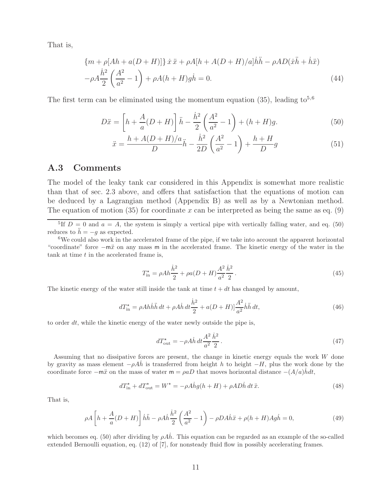That is,

$$
\{m+\rho[Ah+a(D+H)]\}\dot{x}\ddot{x}+\rho A[h+A(D+H)/a]\dot{h}\ddot{h}-\rho AD(\dot{x}\ddot{h}+\dot{h}\ddot{x})
$$

$$
-\rho A\frac{\dot{h}^2}{2}\left(\frac{A^2}{a^2}-1\right)+\rho A(h+H)g\dot{h}=0.
$$
(44)

The first term can be eliminated using the momentum equation (35), leading  $\text{to}^{5,6}$ 

$$
D\ddot{x} = \left[h + \frac{A}{a}(D+H)\right]\ddot{h} - \frac{\dot{h}^2}{2}\left(\frac{A^2}{a^2} - 1\right) + (h+H)g.
$$
 (50)

$$
\ddot{x} = \frac{h + A(D + H)/a}{D}\ddot{h} - \frac{\dot{h}^2}{2D}\left(\frac{A^2}{a^2} - 1\right) + \frac{h + H}{D}g\tag{51}
$$

### **A.3 Comments**

The model of the leaky tank car considered in this Appendix is somewhat more realistic than that of sec. 2.3 above, and offers that satisfaction that the equations of motion can be deduced by a Lagrangian method (Appendix B) as well as by a Newtonian method. The equation of motion (35) for coordinate x can be interpreted as being the same as eq. (9)

$$
T_{\text{in}}^* = \rho A h \frac{\dot{h}^2}{2} + \rho a (D + H) \frac{A^2}{a^2} \frac{\dot{h}^2}{2} \,. \tag{45}
$$

The kinetic energy of the water still inside the tank at time  $t + dt$  has changed by amount,

$$
dT_{\text{in}}^* = \rho A h \ddot{h} \ddot{h} dt + \rho A \dot{h} dt \frac{\dot{h}^2}{2} + a(D+H) \left| \frac{A^2}{a^2} \dot{h} \ddot{h} dt, \tag{46}
$$

to order  $dt$ , while the kinetic energy of the water newly outside the pipe is,

$$
dT_{\text{out}}^* = -\rho A \dot{h} dt \frac{A^2}{a^2} \frac{\dot{h}^2}{2} \,. \tag{47}
$$

Assuming that no dissipative forces are present, the change in kinetic energy equals the work W done by gravity as mass element  $-\rho Ah$  is transferred from height h to height  $-H$ , plus the work done by the coordinate force  $-m\ddot{x}$  on the mass of water  $m = \rho aD$  that moves horizontal distance  $-(A/a)hdt$ ,

$$
dT_{\text{in}}^* + dT_{\text{out}}^* = W^* = -\rho \dot{A}hg(h+H) + \rho AD\dot{h} dt \ddot{x}.
$$
 (48)

That is,

$$
\rho A \left[ h + \frac{A}{a}(D+H) \right] \dot{h} \ddot{h} - \rho A \dot{h} \frac{\dot{h}^2}{2} \left( \frac{A^2}{a^2} - 1 \right) - \rho D A \dot{h} \ddot{x} + \rho (h+H) A g \dot{h} = 0,\tag{49}
$$

which becomes eq. (50) after dividing by  $\rho Ah$ . This equation can be regarded as an example of the so-called extended Bernoulli equation, eq. (12) of [7], for nonsteady fluid flow in possibly accelerating frames.

<sup>&</sup>lt;sup>5</sup>If  $D = 0$  and  $a = A$ , the system is simply a vertical pipe with vertically falling water, and eq. (50) reduces to  $\ddot{h} = -g$  as expected.

<sup>&</sup>lt;sup>6</sup>We could also work in the accelerated frame of the pipe, if we take into account the apparent horizontal "coordinate" force −mx¨ on any mass m in the accelerated frame. The kinetic energy of the water in the  $tanh$  at time  $t$  in the accelerated frame is,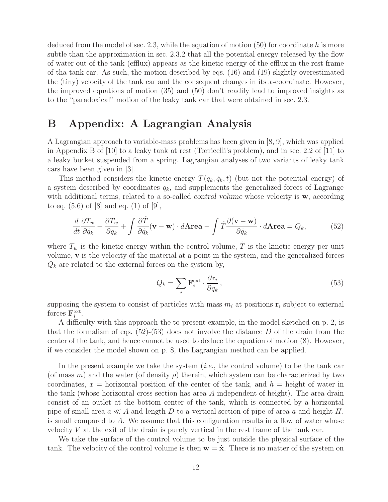deduced from the model of sec.  $2.3$ , while the equation of motion  $(50)$  for coordinate h is more subtle than the approximation in sec. 2.3.2 that all the potential energy released by the flow of water out of the tank (efflux) appears as the kinetic energy of the efflux in the rest frame of tha tank car. As such, the motion described by eqs. (16) and (19) slightly overestimated the (tiny) velocity of the tank car and the consequent changes in its x-coordinate. However, the improved equations of motion (35) and (50) don't readily lead to improved insights as to the "paradoxical" motion of the leaky tank car that were obtained in sec. 2.3.

## **B Appendix: A Lagrangian Analysis**

A Lagrangian approach to variable-mass problems has been given in [8, 9], which was applied in Appendix B of [10] to a leaky tank at rest (Torricelli's problem), and in sec. 2.2 of [11] to a leaky bucket suspended from a spring. Lagrangian analyses of two variants of leaky tank cars have been given in [3].

This method considers the kinetic energy  $T(q_k, \dot{q}_k, t)$  (but not the potential energy) of a system described by coordinates  $q_k$ , and supplements the generalized forces of Lagrange with additional terms, related to a so-called *control volume* whose velocity is **w**, according to eq.  $(5.6)$  of  $[8]$  and eq.  $(1)$  of  $[9]$ ,

$$
\frac{d}{dt}\frac{\partial T_w}{\partial \dot{q}_k} - \frac{\partial T_w}{\partial q_k} + \int \frac{\partial \tilde{T}}{\partial \dot{q}_k}(\mathbf{v} - \mathbf{w}) \cdot d\mathbf{Area} - \int \tilde{T} \frac{\partial (\mathbf{v} - \mathbf{w})}{\partial \dot{q}_k} \cdot d\mathbf{Area} = Q_k,\tag{52}
$$

where  $T_w$  is the kinetic energy within the control volume,  $\tilde{T}$  is the kinetic energy per unit volume, **v** is the velocity of the material at a point in the system, and the generalized forces  $Q_k$  are related to the external forces on the system by,

$$
Q_k = \sum_i \mathbf{F}_i^{\text{ext}} \cdot \frac{\partial \mathbf{r}_i}{\partial q_k},\tag{53}
$$

supposing the system to consist of particles with mass  $m_i$  at positions  $\mathbf{r}_i$  subject to external forces  $\mathbf{F}_i^{\text{ext}}$ .

A difficulty with this approach the to present example, in the model sketched on p. 2, is that the formalism of eqs.  $(52)-(53)$  does not involve the distance D of the drain from the center of the tank, and hence cannot be used to deduce the equation of motion (8). However, if we consider the model shown on p. 8, the Lagrangian method can be applied.

In the present example we take the system (*i.e.*, the control volume) to be the tank car (of mass m) and the water (of density  $\rho$ ) therein, which system can be characterized by two coordinates,  $x =$  horizontal position of the center of the tank, and  $h =$  height of water in the tank (whose horizontal cross section has area A independent of height). The area drain consist of an outlet at the bottom center of the tank, which is connected by a horizontal pipe of small area  $a \ll A$  and length D to a vertical section of pipe of area a and height H, is small compared to A. We assume that this configuration results in a flow of water whose velocity  $V$  at the exit of the drain is purely vertical in the rest frame of the tank car.

We take the surface of the control volume to be just outside the physical surface of the tank. The velocity of the control volume is then  $\mathbf{w} = \dot{\mathbf{x}}$ . There is no matter of the system on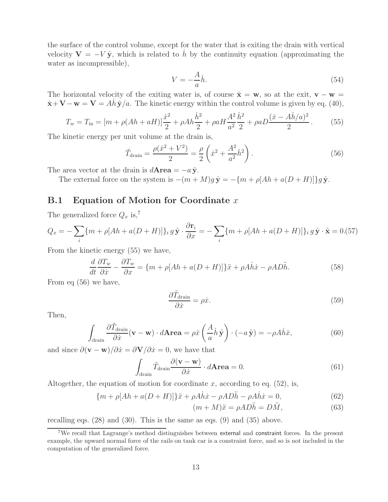the surface of the control volume, except for the water that is exiting the drain with vertical velocity  $V = -V \hat{y}$ , which is related to h by the continuity equation (approximating the water as incompressible),

$$
V = -\frac{A}{a}\dot{h}.\tag{54}
$$

The horizontal velocity of the exiting water is, of course  $\dot{\mathbf{x}} = \mathbf{w}$ , so at the exit,  $\mathbf{v} - \mathbf{w} =$  $\dot{\mathbf{x}} + \mathbf{V} - \mathbf{w} = \mathbf{V} = Ah \hat{\mathbf{y}}/a$ . The kinetic energy within the control volume is given by eq. (40),

$$
T_w = T_{\rm in} = [m + \rho (Ah + aH)]\frac{\dot{x}^2}{2} + \rho Ah \frac{\dot{h}^2}{2} + \rho aH \frac{A^2}{a^2} \frac{\dot{h}^2}{2} + \rho aD \frac{(\dot{x} - Ah/a)^2}{2}.
$$
 (55)

The kinetic energy per unit volume at the drain is,

$$
\tilde{T}_{\text{drain}} = \frac{\rho(\dot{x}^2 + V^2)}{2} = \frac{\rho}{2} \left( \dot{x}^2 + \frac{A^2}{a^2} \dot{h}^2 \right).
$$
\n(56)

The area vector at the drain is  $d$ **Area** =  $-a\hat{y}$ .

The external force on the system is  $-(m + M)g\hat{y} = -\{m + \rho[Ah + a(D + H)]\}g\hat{y}$ .

### **B.1 Equation of Motion for Coordinate** x

The generalized force  $Q_x$  is,<sup>7</sup>

$$
Q_x = -\sum_i \{m + \rho[Ah + a(D+H)]\}_i g \hat{\mathbf{y}} \cdot \frac{\partial \mathbf{r}_i}{\partial x} = -\sum_i \{m + \rho[Ah + a(D+H)]\}_i g \hat{\mathbf{y}} \cdot \hat{\mathbf{x}} = 0.57
$$

From the kinetic energy (55) we have,

$$
\frac{d}{dt}\frac{\partial T_w}{\partial \dot{x}} - \frac{\partial T_w}{\partial x} = \{m + \rho[Ah + a(D+H)]\}\ddot{x} + \rho A \dot{h}\dot{x} - \rho A D \ddot{h}.\tag{58}
$$

From eq (56) we have,

$$
\frac{\partial \tilde{T}_{\text{drain}}}{\partial \dot{x}} = \rho \dot{x}.\tag{59}
$$

Then,

$$
\int_{\text{drain}} \frac{\partial \tilde{T}_{\text{drain}}}{\partial \dot{x}} (\mathbf{v} - \mathbf{w}) \cdot d\mathbf{Area} = \rho \dot{x} \left( \frac{A}{a} \dot{h} \, \hat{\mathbf{y}} \right) \cdot (-a \, \hat{\mathbf{y}}) = -\rho A \dot{h} \dot{x},\tag{60}
$$

and since  $\partial(\mathbf{v} - \mathbf{w})/\partial \dot{x} = \partial \mathbf{V}/\partial \dot{x} = 0$ , we have that

$$
\int_{\text{drain}} \tilde{T}_{\text{drain}} \frac{\partial (\mathbf{v} - \mathbf{w})}{\partial \dot{x}} \cdot d\mathbf{Area} = 0.
$$
 (61)

Altogether, the equation of motion for coordinate x, according to eq.  $(52)$ , is,

$$
\{m + \rho[Ah + a(D+H)]\}\ddot{x} + \rho A \dot{h}\dot{x} - \rho A D \ddot{h} - \rho A \dot{h}\dot{x} = 0,\tag{62}
$$

$$
(m+M)\ddot{x} = \rho A D \ddot{h} = D \ddot{M}, \qquad (63)
$$

recalling eqs. (28) and (30). This is the same as eqs. (9) and (35) above.

<sup>7</sup>We recall that Lagrange's method distinguishes between external and constraint forces. In the present example, the upward normal force of the rails on tank car is a constraint force, and so is not included in the computation of the generalized force.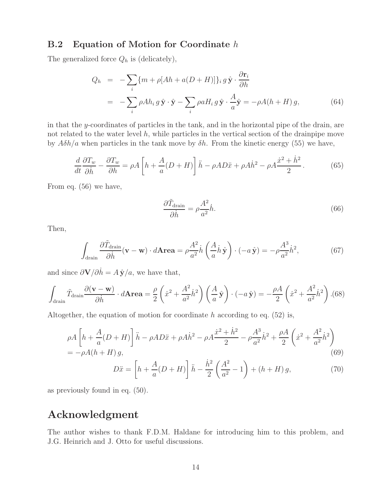### **B.2 Equation of Motion for Coordinate** h

The generalized force  $Q_h$  is (delicately),

$$
Q_h = -\sum_{i} \{m + \rho [Ah + a(D + H)]\}_i g \hat{\mathbf{y}} \cdot \frac{\partial \mathbf{r}_i}{\partial h}
$$
  
= 
$$
-\sum_{i} \rho Ah_i g \hat{\mathbf{y}} \cdot \hat{\mathbf{y}} - \sum_{i} \rho a H_i g \hat{\mathbf{y}} \cdot \frac{A}{a} \hat{\mathbf{y}} = -\rho A (h + H) g,
$$
 (64)

in that the y-coordinates of particles in the tank, and in the horizontal pipe of the drain, are not related to the water level  $h$ , while particles in the vertical section of the drainpipe move by  $A\delta h/a$  when particles in the tank move by  $\delta h$ . From the kinetic energy (55) we have,

$$
\frac{d}{dt}\frac{\partial T_w}{\partial \dot{h}} - \frac{\partial T_w}{\partial h} = \rho A \left[ h + \frac{A}{a}(D+H) \right] \ddot{h} - \rho A D \ddot{x} + \rho A \dot{h}^2 - \rho A \frac{\dot{x}^2 + \dot{h}^2}{2}.
$$
 (65)

From eq. (56) we have,

$$
\frac{\partial \tilde{T}_{\text{drain}}}{\partial \dot{h}} = \rho \frac{A^2}{a^2} \dot{h}.\tag{66}
$$

Then,

$$
\int_{\text{drain}} \frac{\partial \tilde{T}_{\text{drain}}}{\partial \dot{h}} (\mathbf{v} - \mathbf{w}) \cdot d\mathbf{Area} = \rho \frac{A^2}{a^2} \dot{h} \left( \frac{A}{a} \dot{h} \hat{\mathbf{y}} \right) \cdot (-a \hat{\mathbf{y}}) = -\rho \frac{A^3}{a^2} \dot{h}^2,\tag{67}
$$

and since  $\frac{\partial \mathbf{V}}{\partial \dot{h}} = A \hat{\mathbf{y}}/a$ , we have that,

$$
\int_{\text{drain}} \tilde{T}_{\text{drain}} \frac{\partial (\mathbf{v} - \mathbf{w})}{\partial \dot{h}} \cdot d\mathbf{Area} = \frac{\rho}{2} \left( \dot{x}^2 + \frac{A^2}{a^2} \dot{h}^2 \right) \left( \frac{A}{a} \hat{\mathbf{y}} \right) \cdot (-a \hat{\mathbf{y}}) = -\frac{\rho A}{2} \left( \dot{x}^2 + \frac{A^2}{a^2} \dot{h}^2 \right). (68)
$$

Altogether, the equation of motion for coordinate h according to eq.  $(52)$  is,

$$
\rho A \left[ h + \frac{A}{a} (D + H) \right] \ddot{h} - \rho A D \ddot{x} + \rho A \dot{h}^2 - \rho A \frac{\dot{x}^2 + \dot{h}^2}{2} - \rho \frac{A^3}{a^2} \dot{h}^2 + \frac{\rho A}{2} \left( \dot{x}^2 + \frac{A^2}{a^2} \dot{h}^2 \right) = -\rho A (h + H) g,
$$
\n(69)

$$
D\ddot{x} = \left[h + \frac{A}{a}(D+H)\right]\ddot{h} - \frac{\dot{h}^2}{2}\left(\frac{A^2}{a^2} - 1\right) + (h+H)g,\tag{70}
$$

as previously found in eq. (50).

## **Acknowledgment**

The author wishes to thank F.D.M. Haldane for introducing him to this problem, and J.G. Heinrich and J. Otto for useful discussions.